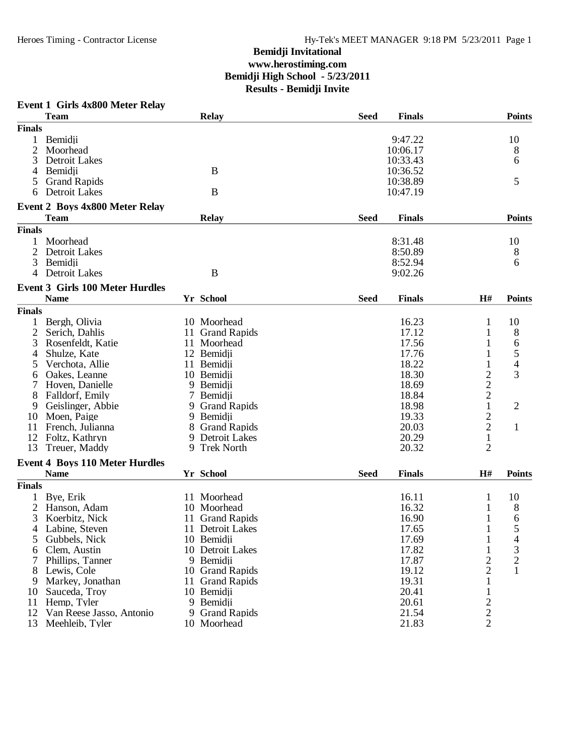#### **Event 1 Girls 4x800 Meter Relay Team Relay Seed Finals Points Finals** 1 Bemidii 9:47.22 10 2 Moorhead 10:06.17 8 3 Detroit Lakes 10:33.43 6 4 Bemidii B 10:36.52 5 Grand Rapids 6 Detroit Lakes 5 B<br>6 Detroit Lakes B<br>10:47.19 6 Detroit Lakes **Event 2 Boys 4x800 Meter Relay**  $\bf{R}$ elay **Finals**  $\bf{R}$ elay **Finals**  $\bf{R}$   $\bf{R}$   $\bf{R}$   $\bf{R}$   $\bf{R}$   $\bf{R}$   $\bf{R}$   $\bf{R}$   $\bf{R}$   $\bf{R}$   $\bf{R}$   $\bf{R}$   $\bf{R}$   $\bf{R}$   $\bf{R}$   $\bf{R}$   $\bf{R}$   $\bf{R}$   $\bf{R}$   $\bf{R}$   $\bf{R}$   $\bf{R}$   $\bf{$ **Finals** 1 Moorhead 8:31.48 10 2 Detroit Lakes 8:50.89 8 3 Bemidji 8:52.94 6 4 Detroit Lakes B 9:02.26 **Event 3 Girls 100 Meter Hurdles Name Yr School FinalsSeed PointsH# Finals** 1 Bergh, Olivia 10 Moorhead 16.23 1 10<br>
2 Serich, Dahlis 11 Grand Rapids 17.12 1 8 2 Serich, Dahlis 11 Grand Rapids 17.12 1 8<br>3 Rosenfeldt. Katie 11 Moorhead 17.56 1 6 8 Rosenfeldt, Katie 11 Moorhead 17.56 1 6<br>
3 Shulze, Kate 12 Bemidji 4 Shulze, Kate 12 Bemidji 17.76 1 5 5 Verchota, Allie 11 Bemidji 18.22 1 4<br>
6 Oakes, Leanne 10 Bemidji 18.30 2 3<br>
7 Hoven, Danielle 9 Bemidji 18.69 2<br>
8 Falldorf, Emily 7 Bemidji 18.84 2 6 Oakes, Leanne 10 Bemidii 18.30<br>
7 Hoven, Danielle 18.69 2 3 9 Bemidii 18.69 France Hoven, Danielle 19 Bemidji<br>Falldorf, Emily 19.69 20.69 20.69 20.69 20.69 20.69 20.69 20.69 20.69 20.69 20.69 20.69 20.69 20.69 20.69 20.6 8 Falldorf, Emily 7 Bemidji 18.84 2<br>
9 Geislinger, Abbie 9 Grand Rapids 18.98 1 9 Grand Rapids<br>
9 Bemidii 19.33 1<br>
8 Grand Rapids 20.03 2 1 10 Moen, Paige 9 9 Bemidii 19.33<br>
11 French Julianna 8 Grand Rapids 20.03 11 French, Julianna 18 Grand Rapids 12 20.03 2 1<br>12 Foltz, Kathryn 19 Detroit Lakes 20.29 1 12 Foltz, Kathryn 19 Detroit Lakes 20.29 1<br>
13 Treuer Maddy 19 Trek North 20.32 2 13 Treuer, Maddy **Event 4 Boys 110 Meter Hurdles Name Yr School FinalsSeed PointsH# Finals** 1 Bye, Erik 11 Moorhead 16.11 10 2 Hanson, Adam 10 Moorhead 16.32 1 8<br>3 Koerbitz, Nick 11 Grand Rapids 16.90 1 6 3 Koerbitz, Nick 11 Grand Rapids 16.90 1 6<br>4 Labine, Steven 11 Detroit Lakes 17.65 1 5 4 Labine, Steven 11 Detroit Lakes 17.65 1 5<br>5 Gubbels, Nick 10 Bemidji 17.69 1 4 Gubbels, Nick 10 Bemidii 17.69 1 4<br>
Clem, Austin 10 Detroit Lakes 17.82 1 3 6 Clem, Austin 10 Detroit Lakes 17.82 1 3<br>
7 Phillips, Tanner 9 Bemidji 17.87 2 2 17 Phillips, Tanner 9 Bemidji 17.87 2 2<br>
8 Lewis, Cole 10 Grand Rapids 19.12 2 1 10 Grand Rapids 19.12 2<br>11 Grand Rapids 19.31 1 9 Markey, Jonathan 11 Grand Rapids 19.31 1<br>
0 Sauceda, Troy 10 Bemidji 1 20.41 1 10 Sauceda, Troy 10 Bemidii 20.41 1<br>11 Hemp, Tyler 9 Bemidii 20.61 2 11 Hemp, Tyler 9 Bemidii 20.61 2<br>
12 Van Reese Jasso, Antonio 9 Grand Rapids 21.54 2 12 Van Reese Jasso, Antonio 9 Grand Rapids 21.54 2<br>13 Meehleib, Tyler 10 Moorhead 21.83 2 13 Meehleib, Tyler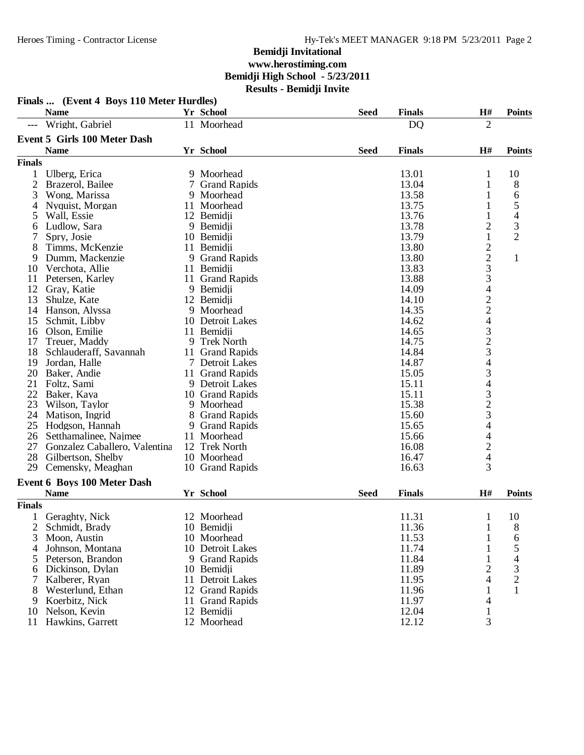|                | Finals  (Event 4 Boys 110 Meter Hurdles) |    |                     |             |               |                                                 |                          |
|----------------|------------------------------------------|----|---------------------|-------------|---------------|-------------------------------------------------|--------------------------|
|                | <b>Name</b>                              |    | <b>Yr School</b>    | <b>Seed</b> | <b>Finals</b> | H#                                              | <b>Points</b>            |
| $---$          | Wright, Gabriel                          |    | 11 Moorhead         |             | <b>DQ</b>     | $\overline{2}$                                  |                          |
|                | <b>Event 5 Girls 100 Meter Dash</b>      |    |                     |             |               |                                                 |                          |
|                | <b>Name</b>                              |    | Yr School           | <b>Seed</b> | <b>Finals</b> | H#                                              | <b>Points</b>            |
| <b>Finals</b>  |                                          |    |                     |             |               |                                                 |                          |
| 1              | Ulberg, Erica                            |    | 9 Moorhead          |             | 13.01         | $\mathbf{1}$                                    | 10                       |
| $\overline{c}$ | Brazerol, Bailee                         | 7  | <b>Grand Rapids</b> |             | 13.04         | $\mathbf{1}$                                    | 8                        |
| 3              | Wong, Marissa                            | 9  | Moorhead            |             | 13.58         | 1                                               | 6                        |
| 4              | Nyquist, Morgan                          | 11 | Moorhead            |             | 13.75         | 1                                               | 5                        |
| 5              | Wall, Essie                              |    | 12 Bemidji          |             | 13.76         | 1                                               | $\overline{\mathcal{A}}$ |
| 6              | Ludlow, Sara                             |    | 9 Bemidji           |             | 13.78         | $\overline{c}$                                  | $\mathfrak{Z}$           |
| 7              | Spry, Josie                              |    | 10 Bemidji          |             | 13.79         | $\mathbf{1}$                                    | $\overline{2}$           |
| 8              | Timms, McKenzie                          |    | 11 Bemidji          |             | 13.80         |                                                 |                          |
| 9              | Dumm, Mackenzie                          | 9  | <b>Grand Rapids</b> |             | 13.80         |                                                 | $\mathbf{1}$             |
| 10             | Verchota, Allie                          |    | 11 Bemidji          |             | 13.83         | $\begin{array}{c} 2 \\ 2 \\ 3 \\ 3 \end{array}$ |                          |
| 11             | Petersen, Karley                         |    | 11 Grand Rapids     |             | 13.88         |                                                 |                          |
| 12             | Gray, Katie                              |    | 9 Bemidji           |             | 14.09         | $\overline{4}$                                  |                          |
| 13             | Shulze, Kate                             |    | 12 Bemidii          |             | 14.10         |                                                 |                          |
| 14             | Hanson, Alyssa                           |    | 9 Moorhead          |             | 14.35         |                                                 |                          |
| 15             | Schmit, Libby                            |    | 10 Detroit Lakes    |             | 14.62         |                                                 |                          |
| 16             | Olson, Emilie                            |    | 11 Bemidji          |             | 14.65         | 224323434323                                    |                          |
| 17             | Treuer, Maddy                            |    | 9 Trek North        |             | 14.75         |                                                 |                          |
| 18             | Schlauderaff, Savannah                   |    | 11 Grand Rapids     |             | 14.84         |                                                 |                          |
| 19             | Jordan, Halle                            |    | 7 Detroit Lakes     |             | 14.87         |                                                 |                          |
| 20             | Baker, Andie                             |    | 11 Grand Rapids     |             | 15.05         |                                                 |                          |
| 21             | Foltz, Sami                              |    | 9 Detroit Lakes     |             | 15.11         |                                                 |                          |
| 22             | Baker, Kaya                              |    | 10 Grand Rapids     |             | 15.11         |                                                 |                          |
| 23             | Wilson, Taylor                           |    | 9 Moorhead          |             | 15.38         |                                                 |                          |
| 24             | Matison, Ingrid                          | 8  | <b>Grand Rapids</b> |             | 15.60         |                                                 |                          |
| 25             | Hodgson, Hannah                          |    | 9 Grand Rapids      |             | 15.65         | $\overline{4}$                                  |                          |
| 26             | Setthamalinee, Najmee                    |    | 11 Moorhead         |             | 15.66         | $\overline{\mathcal{L}}$                        |                          |
| 27             | Gonzalez Caballero, Valentina            |    | 12 Trek North       |             | 16.08         |                                                 |                          |
| 28             | Gilbertson, Shelby                       |    | 10 Moorhead         |             | 16.47         | $\frac{2}{4}$                                   |                          |
| 29             | Cemensky, Meaghan                        |    | 10 Grand Rapids     |             | 16.63         | 3                                               |                          |
|                |                                          |    |                     |             |               |                                                 |                          |
|                | Event 6 Boys 100 Meter Dash              |    |                     |             |               |                                                 |                          |
|                | <b>Name</b>                              |    | Yr School           | <b>Seed</b> | <b>Finals</b> | H#                                              | <b>Points</b>            |
| <b>Finals</b>  |                                          |    |                     |             |               |                                                 |                          |
|                | Geraghty, Nick                           |    | 12 Moorhead         |             | 11.31         | $\mathbf{1}$                                    | 10                       |
| 2              | Schmidt, Brady                           |    | 10 Bemidji          |             | 11.36         | $\mathbf{1}$                                    | 8                        |
| 3              | Moon, Austin                             |    | 10 Moorhead         |             | 11.53         | $\mathbf{1}$                                    | 6                        |
| 4              | Johnson, Montana                         |    | 10 Detroit Lakes    |             | 11.74         |                                                 | 5                        |
| 5              | Peterson, Brandon                        |    | 9 Grand Rapids      |             | 11.84         | 1                                               | 4                        |
| 6              | Dickinson, Dylan                         |    | 10 Bemidji          |             | 11.89         | $\overline{2}$                                  | 3                        |
| 7              | Kalberer, Ryan                           |    | 11 Detroit Lakes    |             | 11.95         | 4                                               | $\overline{2}$           |
| 8              | Westerlund, Ethan                        |    | 12 Grand Rapids     |             | 11.96         | $\mathbf{1}$                                    | $\mathbf{1}$             |
| 9              | Koerbitz, Nick                           |    | 11 Grand Rapids     |             | 11.97         | 4                                               |                          |
| 10             | Nelson, Kevin                            |    | 12 Bemidji          |             | 12.04         | $\mathbf{1}$                                    |                          |
| 11             | Hawkins, Garrett                         |    | 12 Moorhead         |             | 12.12         | 3                                               |                          |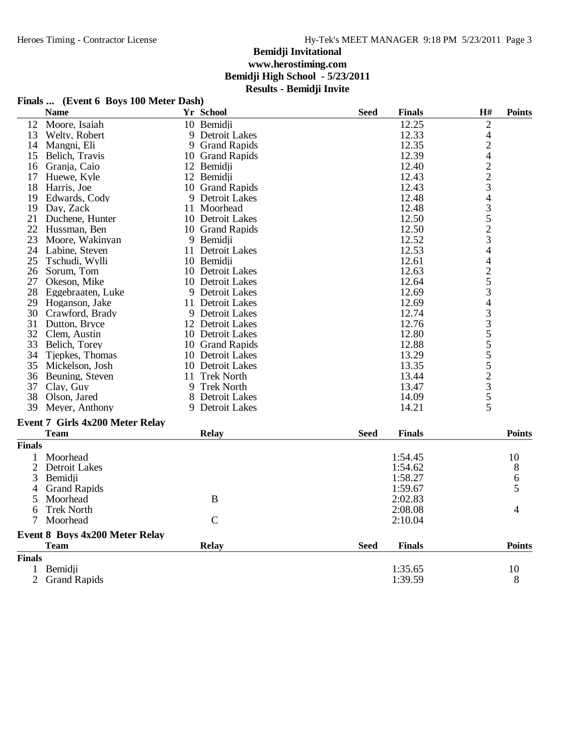## **Finals ... (Event 6 Boys 100 Meter Dash)**

|                | <b>Name</b>                           | Yr School        | <b>Seed</b> | <b>Finals</b> | H#             | <b>Points</b> |
|----------------|---------------------------------------|------------------|-------------|---------------|----------------|---------------|
| 12             | Moore, Isaiah                         | 10 Bemidji       |             | 12.25         | $\overline{c}$ |               |
| 13             | Welty, Robert                         | 9 Detroit Lakes  |             | 12.33         | $\overline{4}$ |               |
| 14             | Mangni, Eli                           | 9 Grand Rapids   |             | 12.35         |                |               |
| 15             | Belich, Travis                        | 10 Grand Rapids  |             | 12.39         |                |               |
| 16             | Granja, Caio                          | 12 Bemidji       |             | 12.40         |                |               |
| 17             | Huewe, Kyle                           | 12 Bemidji       |             | 12.43         |                |               |
| 18             | Harris, Joe                           | 10 Grand Rapids  |             | 12.43         |                |               |
| 19             | Edwards, Cody                         | 9 Detroit Lakes  |             | 12.48         | 2422343523     |               |
| 19             | Day, Zack                             | 11 Moorhead      |             | 12.48         |                |               |
| 21             | Duchene, Hunter                       | 10 Detroit Lakes |             | 12.50         |                |               |
| 22             | Hussman, Ben                          | 10 Grand Rapids  |             | 12.50         |                |               |
| 23             | Moore, Wakinyan                       | 9 Bemidji        |             | 12.52         |                |               |
| 24             | Labine, Steven                        | 11 Detroit Lakes |             | 12.53         | $\overline{4}$ |               |
| 25             | Tschudi, Wylli                        | 10 Bemidii       |             | 12.61         |                |               |
| 26             | Sorum, Tom                            | 10 Detroit Lakes |             | 12.63         |                |               |
| 27             | Okeson, Mike                          | 10 Detroit Lakes |             | 12.64         |                |               |
| 28             | Eggebraaten, Luke                     | 9 Detroit Lakes  |             | 12.69         | 42534335552355 |               |
| 29             | Hoganson, Jake                        | 11 Detroit Lakes |             | 12.69         |                |               |
| 30             | Crawford, Brady                       | 9 Detroit Lakes  |             | 12.74         |                |               |
| 31             | Dutton, Bryce                         | 12 Detroit Lakes |             | 12.76         |                |               |
| 32             | Clem, Austin                          | 10 Detroit Lakes |             | 12.80         |                |               |
| 33             | Belich, Torey                         | 10 Grand Rapids  |             | 12.88         |                |               |
| 34             | Tjepkes, Thomas                       | 10 Detroit Lakes |             | 13.29         |                |               |
| 35             | Mickelson, Josh                       | 10 Detroit Lakes |             | 13.35         |                |               |
| 36             | Beuning, Steven                       | 11 Trek North    |             | 13.44         |                |               |
| 37             | Clay, Guy                             | 9 Trek North     |             | 13.47         |                |               |
| 38             | Olson, Jared                          | 8 Detroit Lakes  |             | 14.09         |                |               |
| 39             | Meyer, Anthony                        | 9 Detroit Lakes  |             | 14.21         |                |               |
|                | Event 7 Girls 4x200 Meter Relay       |                  |             |               |                |               |
|                | <b>Team</b>                           | <b>Relay</b>     | <b>Seed</b> | <b>Finals</b> |                | <b>Points</b> |
| <b>Finals</b>  |                                       |                  |             |               |                |               |
| 1              | Moorhead                              |                  |             | 1:54.45       |                | 10            |
| $\overline{2}$ | <b>Detroit Lakes</b>                  |                  |             | 1:54.62       |                | 8             |
| 3              | Bemidji                               |                  |             | 1:58.27       |                | 6             |
| 4              | <b>Grand Rapids</b>                   |                  |             | 1:59.67       |                | 5             |
| 5              | Moorhead                              | $\bf{B}$         |             | 2:02.83       |                |               |
| 6              | <b>Trek North</b>                     |                  |             | 2:08.08       |                | 4             |
| 7              | Moorhead                              | $\mathcal{C}$    |             | 2:10.04       |                |               |
|                | <b>Event 8 Boys 4x200 Meter Relay</b> |                  |             |               |                |               |

|               | <b>Team</b>    | <b>Relay</b> | <b>Seed</b> | Finals  | <b>Points</b> |
|---------------|----------------|--------------|-------------|---------|---------------|
| <b>Finals</b> |                |              |             |         |               |
|               | Bemidji        |              |             | 1:35.65 | 10            |
|               | 2 Grand Rapids |              |             | 1:39.59 |               |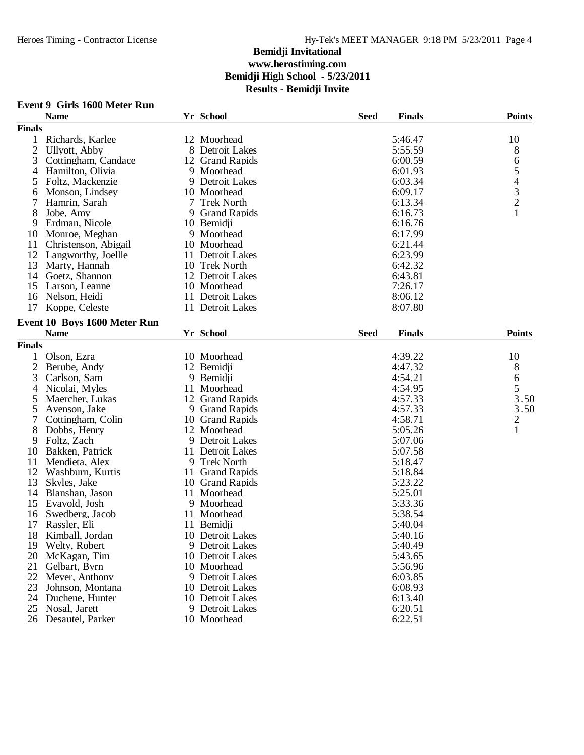### **Event 9 Girls 1600 Meter Run**

|                | <b>Name</b>                  |   | Yr School           | <b>Seed</b> | <b>Finals</b> | <b>Points</b>  |
|----------------|------------------------------|---|---------------------|-------------|---------------|----------------|
| <b>Finals</b>  |                              |   |                     |             |               |                |
| 1              | Richards, Karlee             |   | 12 Moorhead         |             | 5:46.47       | 10             |
| $\overline{2}$ | <b>Ullyott</b> , Abby        |   | 8 Detroit Lakes     |             | 5:55.59       | 8              |
| 3              | Cottingham, Candace          |   | 12 Grand Rapids     |             | 6:00.59       |                |
| 4              | Hamilton, Olivia             |   | 9 Moorhead          |             | 6:01.93       |                |
| 5              | Foltz, Mackenzie             |   | 9 Detroit Lakes     |             | 6:03.34       |                |
| 6              | Monson, Lindsey              |   | 10 Moorhead         |             | 6:09.17       |                |
| 7              | Hamrin, Sarah                | 7 | <b>Trek North</b>   |             | 6:13.34       | 65432          |
| 8              | Jobe, Amy                    | 9 | <b>Grand Rapids</b> |             | 6:16.73       |                |
| 9              | Erdman, Nicole               |   | 10 Bemidji          |             | 6:16.76       |                |
| 10             | Monroe, Meghan               |   | 9 Moorhead          |             | 6:17.99       |                |
| 11             | Christenson, Abigail         |   | 10 Moorhead         |             | 6:21.44       |                |
| 12             | Langworthy, Joellle          |   | 11 Detroit Lakes    |             | 6:23.99       |                |
| 13             | Marty, Hannah                |   | 10 Trek North       |             | 6:42.32       |                |
| 14             | Goetz, Shannon               |   | 12 Detroit Lakes    |             | 6:43.81       |                |
| 15             | Larson, Leanne               |   | 10 Moorhead         |             | 7:26.17       |                |
| 16             | Nelson, Heidi                |   | 11 Detroit Lakes    |             | 8:06.12       |                |
| 17             | Koppe, Celeste               |   | 11 Detroit Lakes    |             | 8:07.80       |                |
|                |                              |   |                     |             |               |                |
|                | Event 10 Boys 1600 Meter Run |   |                     |             |               |                |
|                | <b>Name</b>                  |   | Yr School           | <b>Seed</b> | <b>Finals</b> | <b>Points</b>  |
| <b>Finals</b>  |                              |   |                     |             |               |                |
| 1              | Olson, Ezra                  |   | 10 Moorhead         |             | 4:39.22       | 10             |
| $\overline{2}$ | Berube, Andy                 |   | 12 Bemidji          |             | 4:47.32       | 8              |
| 3              | Carlson, Sam                 |   | 9 Bemidii           |             | 4:54.21       | 6              |
| 4              | Nicolai, Myles               |   | 11 Moorhead         |             | 4:54.95       | 5              |
| 5              | Maercher, Lukas              |   | 12 Grand Rapids     |             | 4:57.33       | 3.50           |
| 5              | Avenson, Jake                |   | 9 Grand Rapids      |             | 4:57.33       | 3.50           |
| 7              | Cottingham, Colin            |   | 10 Grand Rapids     |             | 4:58.71       | $\overline{c}$ |
| 8              | Dobbs, Henry                 |   | 12 Moorhead         |             | 5:05.26       | $\mathbf{1}$   |
| 9              | Foltz, Zach                  |   | 9 Detroit Lakes     |             | 5:07.06       |                |
| 10             | Bakken, Patrick              |   | 11 Detroit Lakes    |             | 5:07.58       |                |
| 11             | Mendieta, Alex               |   | 9 Trek North        |             | 5:18.47       |                |
| 12             | Washburn, Kurtis             |   | 11 Grand Rapids     |             | 5:18.84       |                |
| 13             | Skyles, Jake                 |   | 10 Grand Rapids     |             | 5:23.22       |                |
| 14             | Blanshan, Jason              |   | 11 Moorhead         |             | 5:25.01       |                |
| 15             | Evavold, Josh                |   | 9 Moorhead          |             | 5:33.36       |                |
| 16             | Swedberg, Jacob              |   | 11 Moorhead         |             | 5:38.54       |                |
| 17             | Rassler, Eli                 |   | 11 Bemidji          |             | 5:40.04       |                |
| 18             | Kimball, Jordan              |   | 10 Detroit Lakes    |             | 5:40.16       |                |
| 19             | Welty, Robert                |   | 9 Detroit Lakes     |             | 5:40.49       |                |
| 20             | McKagan, Tim                 |   | 10 Detroit Lakes    |             | 5:43.65       |                |
| 21             | Gelbart, Byrn                |   | 10 Moorhead         |             | 5:56.96       |                |
| 22             | Meyer, Anthony               |   | 9 Detroit Lakes     |             | 6:03.85       |                |
| 23             | Johnson, Montana             |   | 10 Detroit Lakes    |             | 6:08.93       |                |
| 24             | Duchene, Hunter              |   | 10 Detroit Lakes    |             | 6:13.40       |                |
| 25             | Nosal, Jarett                |   | 9 Detroit Lakes     |             | 6:20.51       |                |
| 26             | Desautel, Parker             |   | 10 Moorhead         |             | 6:22.51       |                |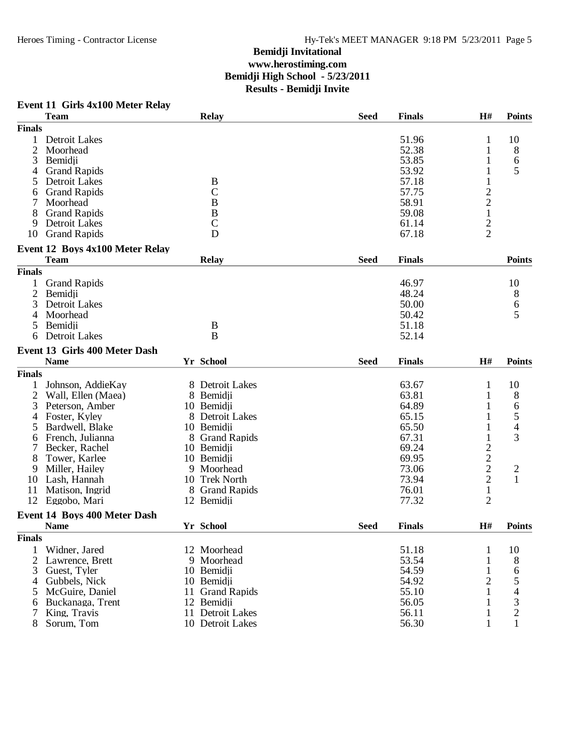### **Event 11 Girls 4x100 Meter Relay**

|                | <b>Team</b>                          |    | <b>Relay</b>        | <b>Seed</b> | <b>Finals</b> | H#             | <b>Points</b>  |
|----------------|--------------------------------------|----|---------------------|-------------|---------------|----------------|----------------|
| <b>Finals</b>  |                                      |    |                     |             |               |                |                |
| 1              | Detroit Lakes                        |    |                     |             | 51.96         | 1              | 10             |
| $\overline{2}$ | Moorhead                             |    |                     |             | 52.38         | 1              | 8              |
| 3              | Bemidji                              |    |                     |             | 53.85         |                | 6              |
| 4              | <b>Grand Rapids</b>                  |    |                     |             | 53.92         | 1              | 5              |
| 5              | Detroit Lakes                        |    | B                   |             | 57.18         | $\mathbf{1}$   |                |
| 6              | <b>Grand Rapids</b>                  |    | $\mathcal{C}$       |             | 57.75         | $\overline{c}$ |                |
|                | Moorhead                             |    | $\bf{B}$            |             | 58.91         |                |                |
| 8              | <b>Grand Rapids</b>                  |    | $\, {\bf B}$        |             | 59.08         | $\frac{2}{1}$  |                |
| 9              | Detroit Lakes                        |    | $\mathsf{C}$        |             | 61.14         |                |                |
| 10             |                                      |    | D                   |             | 67.18         | $\overline{2}$ |                |
|                | <b>Grand Rapids</b>                  |    |                     |             |               |                |                |
|                | Event 12 Boys 4x100 Meter Relay      |    |                     |             |               |                |                |
|                | <b>Team</b>                          |    | <b>Relay</b>        | <b>Seed</b> | <b>Finals</b> |                | <b>Points</b>  |
| <b>Finals</b>  |                                      |    |                     |             |               |                |                |
| 1              | <b>Grand Rapids</b>                  |    |                     |             | 46.97         |                | 10             |
| 2              | Bemidji                              |    |                     |             | 48.24         |                | 8              |
| 3              | <b>Detroit Lakes</b>                 |    |                     |             | 50.00         |                | 6              |
| 4              | Moorhead                             |    |                     |             | 50.42         |                | 5              |
|                | Bemidji                              |    | $\bf{B}$            |             | 51.18         |                |                |
| 6              | <b>Detroit Lakes</b>                 |    | B                   |             | 52.14         |                |                |
|                |                                      |    |                     |             |               |                |                |
|                | <b>Event 13 Girls 400 Meter Dash</b> |    |                     |             |               |                |                |
|                | <b>Name</b>                          |    | Yr School           | <b>Seed</b> | <b>Finals</b> | H#             | <b>Points</b>  |
| <b>Finals</b>  |                                      |    |                     |             |               |                |                |
| 1              | Johnson, AddieKay                    |    | 8 Detroit Lakes     |             | 63.67         | $\mathbf{1}$   | 10             |
| $\overline{c}$ | Wall, Ellen (Maea)                   |    | 8 Bemidji           |             | 63.81         | 1              | 8              |
| 3              | Peterson, Amber                      |    | 10 Bemidji          |             | 64.89         |                | 6              |
| 4              | Foster, Kyley                        |    | 8 Detroit Lakes     |             | 65.15         | 1              | 5              |
| 5              | Bardwell, Blake                      |    | 10 Bemidji          |             | 65.50         | $\mathbf{1}$   | $\overline{4}$ |
| 6              | French, Julianna                     |    | 8 Grand Rapids      |             | 67.31         | $\mathbf{1}$   | 3              |
| 7              | Becker, Rachel                       |    | 10 Bemidji          |             | 69.24         |                |                |
| 8              | Tower, Karlee                        |    | 10 Bemidji          |             | 69.95         |                |                |
| 9              | Miller, Hailey                       |    | 9 Moorhead          |             | 73.06         | $\frac{2}{2}$  | $\overline{c}$ |
| 10             | Lash, Hannah                         |    | 10 Trek North       |             | 73.94         | $\overline{c}$ | $\mathbf{1}$   |
| 11             | Matison, Ingrid                      |    | 8 Grand Rapids      |             | 76.01         | $\mathbf 1$    |                |
| 12             | Eggobo, Mari                         |    | 12 Bemidii          |             | 77.32         | $\overline{2}$ |                |
|                |                                      |    |                     |             |               |                |                |
|                | Event 14 Boys 400 Meter Dash         |    |                     |             |               |                |                |
|                | <b>Name</b>                          |    | Yr School           | <b>Seed</b> | <b>Finals</b> | H#             | <b>Points</b>  |
| <b>Finals</b>  |                                      |    |                     |             |               |                |                |
| 1              | Widner, Jared                        |    | 12 Moorhead         |             | 51.18         | 1              | 10             |
| $\overline{c}$ | Lawrence, Brett                      |    | 9 Moorhead          |             | 53.54         | 1              | 8              |
| 3              | Guest, Tyler                         |    | 10 Bemidji          |             | 54.59         | $\mathbf{1}$   | 6              |
| 4              | Gubbels, Nick                        |    | 10 Bemidji          |             | 54.92         | $\overline{2}$ | 5              |
| 5              | McGuire, Daniel                      | 11 | <b>Grand Rapids</b> |             | 55.10         | $\mathbf{1}$   | 4              |
| 6              | Buckanaga, Trent                     |    | 12 Bemidji          |             | 56.05         | 1              | 3              |
| 7              | King, Travis                         |    | 11 Detroit Lakes    |             | 56.11         | $\mathbf 1$    | $\overline{c}$ |
| 8              | Sorum, Tom                           |    | 10 Detroit Lakes    |             | 56.30         | 1              | 1              |
|                |                                      |    |                     |             |               |                |                |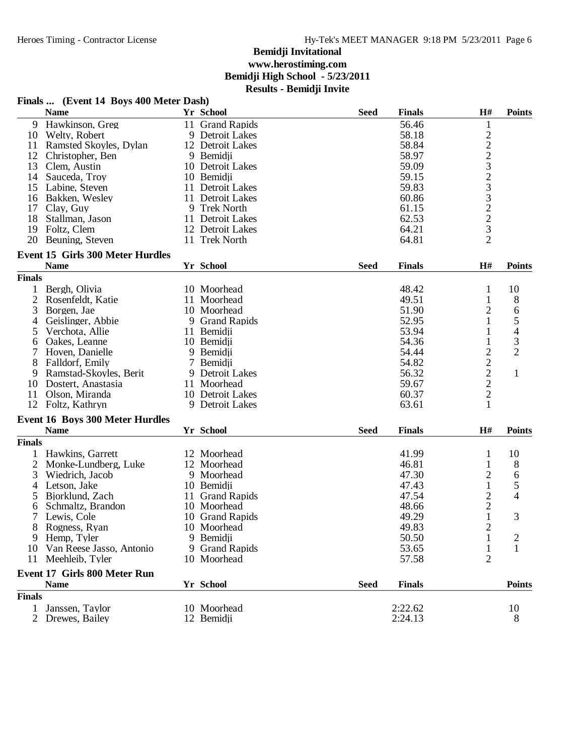|                | Finals  (Event 14 Boys 400 Meter Dash)             |    |                               |             |                |                                                   |                          |
|----------------|----------------------------------------------------|----|-------------------------------|-------------|----------------|---------------------------------------------------|--------------------------|
|                | <b>Name</b>                                        |    | Yr School                     | <b>Seed</b> | <b>Finals</b>  | H#                                                | <b>Points</b>            |
|                | 9 Hawkinson, Greg                                  |    | 11 Grand Rapids               |             | 56.46          | $\mathbf{1}$                                      |                          |
| 10             | Welty, Robert                                      |    | 9 Detroit Lakes               |             | 58.18          |                                                   |                          |
| 11             | Ramsted Skoyles, Dylan                             |    | 12 Detroit Lakes              |             | 58.84          | $222323222$<br>$32232$                            |                          |
| 12             | Christopher, Ben                                   |    | 9 Bemidji                     |             | 58.97          |                                                   |                          |
| 13             | Clem, Austin                                       |    | 10 Detroit Lakes              |             | 59.09          |                                                   |                          |
| 14             | Sauceda, Troy                                      |    | 10 Bemidji                    |             | 59.15          |                                                   |                          |
| 15             | Labine, Steven                                     |    | 11 Detroit Lakes              |             | 59.83          |                                                   |                          |
| 16             | Bakken, Wesley                                     |    | 11 Detroit Lakes              |             | 60.86          |                                                   |                          |
| 17             | Clay, Guy                                          |    | 9 Trek North                  |             | 61.15          |                                                   |                          |
| 18             | Stallman, Jason                                    |    | 11 Detroit Lakes              |             | 62.53          |                                                   |                          |
| 19             | Foltz, Clem                                        |    | 12 Detroit Lakes              |             | 64.21          |                                                   |                          |
| 20             | Beuning, Steven                                    | 11 | <b>Trek North</b>             |             | 64.81          |                                                   |                          |
|                | Event 15 Girls 300 Meter Hurdles                   |    |                               |             |                |                                                   |                          |
|                | <b>Name</b>                                        |    | Yr School                     | <b>Seed</b> | <b>Finals</b>  | H#                                                | <b>Points</b>            |
| <b>Finals</b>  |                                                    |    |                               |             |                |                                                   |                          |
| 1              | Bergh, Olivia                                      |    | 10 Moorhead                   |             | 48.42          | $\mathbf{1}$                                      | 10                       |
| 2              | Rosenfeldt, Katie                                  |    | 11 Moorhead                   |             | 49.51          | $\mathbf{1}$                                      | 8                        |
| 3              | Borgen, Jae                                        |    | 10 Moorhead                   |             | 51.90          | $\overline{2}$                                    | 6                        |
| 4              | Geislinger, Abbie                                  |    | 9 Grand Rapids                |             | 52.95          | 1                                                 | 5                        |
| 5              | Verchota, Allie                                    |    | 11 Bemidji                    |             | 53.94          | 1                                                 | $\overline{\mathcal{A}}$ |
| 6              | Oakes, Leanne                                      |    | 10 Bemidii                    |             | 54.36          | $\mathbf{1}$                                      | 3                        |
| 7              | Hoven, Danielle                                    |    | 9 Bemidji                     |             | 54.44          |                                                   | $\overline{2}$           |
| 8              | Falldorf, Emily                                    |    | 7 Bemidji                     |             | 54.82          | $\begin{array}{c}\n2 \\ 2 \\ 2 \\ 2\n\end{array}$ |                          |
| 9              | Ramstad-Skoyles, Berit                             |    | 9 Detroit Lakes               |             | 56.32          |                                                   | $\mathbf{1}$             |
| 10             | Dostert, Anastasia                                 |    | 11 Moorhead                   |             | 59.67          |                                                   |                          |
| 11             | Olson, Miranda                                     |    | 10 Detroit Lakes              |             | 60.37          |                                                   |                          |
| 12             | Foltz, Kathryn                                     |    | 9 Detroit Lakes               |             | 63.61          | $\mathbf{1}$                                      |                          |
|                | <b>Event 16 Boys 300 Meter Hurdles</b>             |    |                               |             |                |                                                   |                          |
|                | <b>Name</b>                                        |    | Yr School                     | <b>Seed</b> | <b>Finals</b>  | H#                                                | <b>Points</b>            |
| <b>Finals</b>  |                                                    |    |                               |             |                |                                                   |                          |
| 1              | Hawkins, Garrett                                   |    | 12 Moorhead                   |             | 41.99          | 1                                                 | 10                       |
| $\overline{c}$ | Monke-Lundberg, Luke                               |    | 12 Moorhead                   |             | 46.81          | $\mathbf{1}$                                      | 8                        |
| 3              | Wiedrich, Jacob                                    |    | 9 Moorhead                    |             | 47.30          | $\overline{c}$                                    | 6                        |
| 4              | Letson, Jake                                       |    | 10 Bemidji                    |             | 47.43          | $\,1$                                             | 5                        |
| 5              | Bjorklund, Zach                                    | 11 | <b>Grand Rapids</b>           |             | 47.54          |                                                   | 4                        |
| 6              | Schmaltz, Brandon                                  |    | 10 Moorhead                   |             | 48.66          | $\frac{2}{2}$                                     |                          |
| 7              | Lewis, Cole                                        |    | 10 Grand Rapids               |             | 49.29          | $\mathbf{1}$                                      | 3                        |
|                |                                                    |    | 10 Moorhead                   |             |                |                                                   |                          |
| 9              | Rogness, Ryan                                      |    |                               |             | 49.83<br>50.50 | 2                                                 |                          |
|                | Hemp, Tyler<br>Van Reese Jasso, Antonio            |    | 9 Bemidji                     |             |                | 1                                                 | 2                        |
| 10<br>11       | Meehleib, Tyler                                    |    | 9 Grand Rapids<br>10 Moorhead |             | 53.65<br>57.58 | $\mathbf{1}$<br>$\overline{2}$                    | 1                        |
|                |                                                    |    |                               |             |                |                                                   |                          |
|                | <b>Event 17 Girls 800 Meter Run</b><br><b>Name</b> |    | Yr School                     | <b>Seed</b> | <b>Finals</b>  |                                                   | <b>Points</b>            |
| <b>Finals</b>  |                                                    |    |                               |             |                |                                                   |                          |
| 1              | Janssen, Taylor                                    |    | 10 Moorhead                   |             | 2:22.62        |                                                   | 10                       |
| 2              |                                                    |    |                               |             | 2:24.13        |                                                   | 8                        |
|                | Drewes, Bailey                                     |    | 12 Bemidji                    |             |                |                                                   |                          |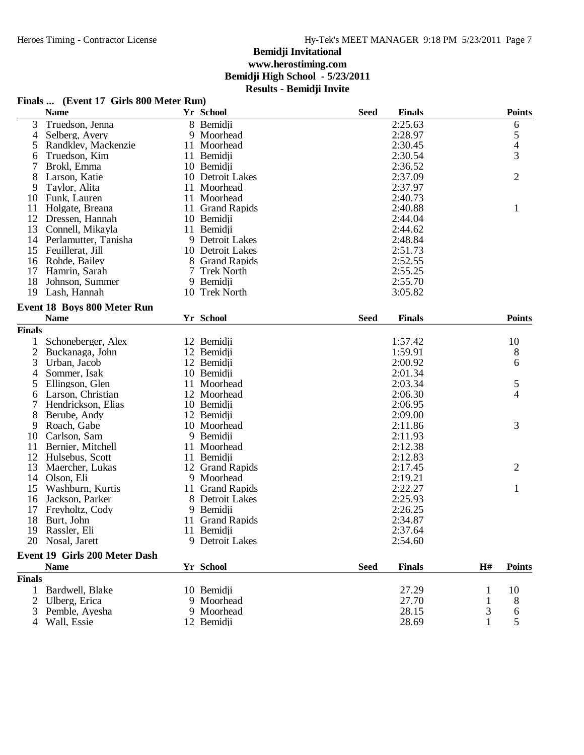## **Finals ... (Event 17 Girls 800 Meter Run)**

|                | <b>Name</b>                          |    | Yr School         | <b>Seed</b> | <b>Finals</b> |              | <b>Points</b>  |
|----------------|--------------------------------------|----|-------------------|-------------|---------------|--------------|----------------|
| 3              | Truedson, Jenna                      |    | 8 Bemidii         |             | 2:25.63       |              | 6              |
| 4              | Selberg, Avery                       |    | 9 Moorhead        |             | 2:28.97       |              | 5              |
| 5              | Randklev, Mackenzie                  |    | 11 Moorhead       |             | 2:30.45       |              | 4              |
| 6              | Truedson, Kim                        |    | 11 Bemidji        |             | 2:30.54       |              | 3              |
| 7              | Brokl, Emma                          |    | 10 Bemidji        |             | 2:36.52       |              |                |
| 8              | Larson, Katie                        |    | 10 Detroit Lakes  |             | 2:37.09       |              | $\overline{2}$ |
| 9              | Taylor, Alita                        |    | 11 Moorhead       |             | 2:37.97       |              |                |
| 10             | Funk, Lauren                         |    | 11 Moorhead       |             | 2:40.73       |              |                |
| 11             | Holgate, Breana                      |    | 11 Grand Rapids   |             | 2:40.88       |              | $\mathbf{1}$   |
| 12             | Dressen, Hannah                      |    | 10 Bemidji        |             | 2:44.04       |              |                |
| 13             | Connell, Mikayla                     |    | 11 Bemidji        |             | 2:44.62       |              |                |
| 14             | Perlamutter, Tanisha                 |    | 9 Detroit Lakes   |             | 2:48.84       |              |                |
| 15             | Feuillerat, Jill                     |    | 10 Detroit Lakes  |             | 2:51.73       |              |                |
| 16             | Rohde, Bailey                        |    | 8 Grand Rapids    |             | 2:52.55       |              |                |
| 17             | Hamrin, Sarah                        | 7  | <b>Trek North</b> |             | 2:55.25       |              |                |
| 18             | Johnson, Summer                      |    | 9 Bemidji         |             | 2:55.70       |              |                |
| 19             | Lash, Hannah                         |    | 10 Trek North     |             | 3:05.82       |              |                |
|                |                                      |    |                   |             |               |              |                |
|                | <b>Event 18 Boys 800 Meter Run</b>   |    |                   |             |               |              |                |
|                | <b>Name</b>                          |    | Yr School         | <b>Seed</b> | <b>Finals</b> |              | <b>Points</b>  |
| <b>Finals</b>  |                                      |    |                   |             |               |              |                |
| 1              | Schoneberger, Alex                   |    | 12 Bemidji        |             | 1:57.42       |              | 10             |
| $\overline{2}$ | Buckanaga, John                      |    | 12 Bemidji        |             | 1:59.91       |              | 8              |
| 3              | Urban, Jacob                         |    | 12 Bemidji        |             | 2:00.92       |              | 6              |
| 4              | Sommer, Isak                         |    | 10 Bemidji        |             | 2:01.34       |              |                |
| 5              | Ellingson, Glen                      |    | 11 Moorhead       |             | 2:03.34       |              | 5              |
| 6              | Larson, Christian                    |    | 12 Moorhead       |             | 2:06.30       |              | 4              |
| 7              | Hendrickson, Elias                   |    | 10 Bemidji        |             | 2:06.95       |              |                |
| 8              | Berube, Andy                         |    | 12 Bemidji        |             | 2:09.00       |              |                |
| 9              | Roach, Gabe                          |    | 10 Moorhead       |             | 2:11.86       |              | 3              |
| 10             | Carlson, Sam                         |    | 9 Bemidji         |             | 2:11.93       |              |                |
| 11             | Bernier, Mitchell                    | 11 | Moorhead          |             | 2:12.38       |              |                |
| 12             | Hulsebus, Scott                      |    | 11 Bemidji        |             | 2:12.83       |              |                |
| 13             | Maercher, Lukas                      |    | 12 Grand Rapids   |             | 2:17.45       |              | $\overline{2}$ |
| 14             | Olson, Eli                           | 9  | Moorhead          |             | 2:19.21       |              |                |
| 15             | Washburn, Kurtis                     |    | 11 Grand Rapids   |             | 2:22.27       |              | $\mathbf{1}$   |
| 16             | Jackson, Parker                      |    | 8 Detroit Lakes   |             | 2:25.93       |              |                |
| 17             | Freyholtz, Cody                      |    | 9 Bemidii         |             | 2:26.25       |              |                |
| 18             | Burt, John                           |    | 11 Grand Rapids   |             | 2:34.87       |              |                |
| 19             | Rassler, Eli                         |    | 11 Bemidji        |             | 2:37.64       |              |                |
|                | 20 Nosal, Jarett                     |    | 9 Detroit Lakes   |             | 2:54.60       |              |                |
|                |                                      |    |                   |             |               |              |                |
|                | <b>Event 19 Girls 200 Meter Dash</b> |    |                   |             |               |              |                |
|                | <b>Name</b>                          |    | Yr School         | <b>Seed</b> | <b>Finals</b> | H#           | <b>Points</b>  |
| <b>Finals</b>  |                                      |    |                   |             |               |              |                |
| 1              | Bardwell, Blake                      |    | 10 Bemidji        |             | 27.29         | 1            | 10             |
| 2              | Ulberg, Erica                        |    | 9 Moorhead        |             | 27.70         | 1            | 8              |
| 3              | Pemble, Ayesha                       |    | 9 Moorhead        |             | 28.15         | 3            | 6              |
|                | Wall, Essie                          |    | 12 Bemidji        |             | 28.69         | $\mathbf{1}$ | 5              |
|                |                                      |    |                   |             |               |              |                |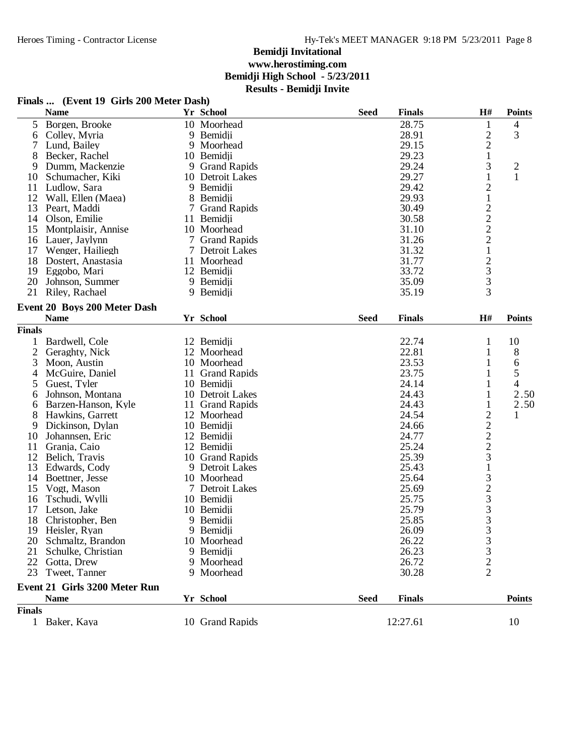### **Finals ... (Event 19 Girls 200 Meter Dash)**

|               | <b>Name</b>                   |    | Yr School        | <b>Seed</b> | <b>Finals</b> | H#                                              | <b>Points</b>            |
|---------------|-------------------------------|----|------------------|-------------|---------------|-------------------------------------------------|--------------------------|
| 5             | Borgen, Brooke                |    | 10 Moorhead      |             | 28.75         | 1                                               | 4                        |
| 6             | Colley, Myria                 |    | 9 Bemidji        |             | 28.91         | $\overline{c}$                                  | 3                        |
| 7             | Lund, Bailey                  |    | 9 Moorhead       |             | 29.15         | $\overline{c}$                                  |                          |
| 8             | Becker, Rachel                |    | 10 Bemidji       |             | 29.23         | $\mathbf{1}$                                    |                          |
| 9             | Dumm, Mackenzie               |    | 9 Grand Rapids   |             | 29.24         | 3                                               | $\overline{c}$           |
| 10            | Schumacher, Kiki              |    | 10 Detroit Lakes |             | 29.27         | $\mathbf{1}$                                    | $\mathbf{1}$             |
| 11            | Ludlow, Sara                  |    | 9 Bemidji        |             | 29.42         | $\overline{c}$                                  |                          |
| 12            | Wall, Ellen (Maea)            | 8  | Bemidji          |             | 29.93         | $\mathbf{1}$                                    |                          |
| 13            | Peart, Maddi                  |    | 7 Grand Rapids   |             | 30.49         | $\overline{c}$                                  |                          |
| 14            | Olson, Emilie                 |    | 11 Bemidji       |             | 30.58         |                                                 |                          |
| 15            | Montplaisir, Annise           |    | 10 Moorhead      |             | 31.10         |                                                 |                          |
|               | 16 Lauer, Jaylynn             |    | 7 Grand Rapids   |             | 31.26         | $\frac{2}{2}$                                   |                          |
| 17            | Wenger, Hailiegh              |    | 7 Detroit Lakes  |             | 31.32         | $\mathbf{1}$                                    |                          |
| 18            | Dostert, Anastasia            |    | 11 Moorhead      |             | 31.77         |                                                 |                          |
| 19            | Eggobo, Mari                  |    | 12 Bemidji       |             | 33.72         |                                                 |                          |
| 20            | Johnson, Summer               |    | 9 Bemidji        |             | 35.09         | $\frac{2}{3}$                                   |                          |
| 21            | Riley, Rachael                |    | 9 Bemidji        |             | 35.19         | $\overline{3}$                                  |                          |
|               |                               |    |                  |             |               |                                                 |                          |
|               | Event 20 Boys 200 Meter Dash  |    |                  |             |               |                                                 |                          |
|               | <b>Name</b>                   |    | <b>Yr School</b> | <b>Seed</b> | <b>Finals</b> | H#                                              | <b>Points</b>            |
| <b>Finals</b> |                               |    |                  |             |               |                                                 |                          |
|               | Bardwell, Cole                |    | 12 Bemidji       |             | 22.74         | 1                                               | 10                       |
| 2             | Geraghty, Nick                | 12 | Moorhead         |             | 22.81         | 1                                               | 8                        |
| 3             | Moon, Austin                  |    | 10 Moorhead      |             | 23.53         | 1                                               | 6                        |
| 4             | McGuire, Daniel               |    | 11 Grand Rapids  |             | 23.75         | 1                                               | 5                        |
| 5             | Guest, Tyler                  |    | 10 Bemidji       |             | 24.14         |                                                 | $\overline{\mathcal{A}}$ |
| 6             | Johnson, Montana              |    | 10 Detroit Lakes |             | 24.43         | 1                                               | 2.50                     |
| 6             | Barzen-Hanson, Kyle           |    | 11 Grand Rapids  |             | 24.43         | $\mathbf{1}$                                    | 2.50                     |
| 8             | Hawkins, Garrett              |    | 12 Moorhead      |             | 24.54         | $\overline{c}$                                  | 1                        |
| 9             | Dickinson, Dylan              |    | 10 Bemidji       |             | 24.66         |                                                 |                          |
| 10            | Johannsen, Eric               |    | 12 Bemidji       |             | 24.77         |                                                 |                          |
| 11            | Granja, Caio                  |    | 12 Bemidji       |             | 25.24         | $\frac{2}{2}$<br>$\frac{2}{3}$                  |                          |
| 12            | Belich, Travis                |    | 10 Grand Rapids  |             | 25.39         |                                                 |                          |
| 13            | Edwards, Cody                 |    | 9 Detroit Lakes  |             | 25.43         | $\,1$                                           |                          |
| 14            | Boettner, Jesse               |    | 10 Moorhead      |             | 25.64         |                                                 |                          |
| 15            | Vogt, Mason                   |    | 7 Detroit Lakes  |             | 25.69         |                                                 |                          |
| 16            | Tschudi, Wylli                |    | 10 Bemidji       |             | 25.75         |                                                 |                          |
| 17            | Letson, Jake                  |    | 10 Bemidji       |             | 25.79         | $\begin{array}{c} 3 \\ 2 \\ 3 \\ 3 \end{array}$ |                          |
| 18            | Christopher, Ben              |    | 9 Bemidji        |             | 25.85         |                                                 |                          |
|               | 19 Heisler, Ryan              |    | 9 Bemidii        |             | 26.09         | 3                                               |                          |
| 20            | Schmaltz, Brandon             |    | 10 Moorhead      |             | 26.22         |                                                 |                          |
| 21            | Schulke, Christian            |    | 9 Bemidii        |             | 26.23         | $\frac{3}{3}$                                   |                          |
| 22            | Gotta, Drew                   |    | 9 Moorhead       |             | 26.72         |                                                 |                          |
| 23            | Tweet, Tanner                 |    | 9 Moorhead       |             | 30.28         | $\frac{2}{2}$                                   |                          |
|               |                               |    |                  |             |               |                                                 |                          |
|               | Event 21 Girls 3200 Meter Run |    |                  |             |               |                                                 |                          |
|               | <b>Name</b>                   |    | Yr School        | <b>Seed</b> | <b>Finals</b> |                                                 | <b>Points</b>            |
| <b>Finals</b> |                               |    |                  |             |               |                                                 |                          |
|               | 1 Baker, Kaya                 |    | 10 Grand Rapids  |             | 12:27.61      |                                                 | 10                       |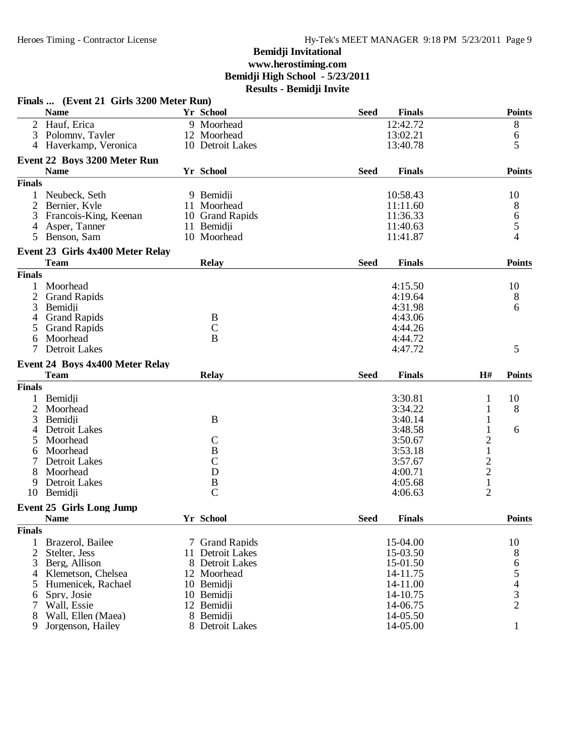|                | Finals  (Event 21 Girls 3200 Meter Run) |                  |             |               |                |                                            |
|----------------|-----------------------------------------|------------------|-------------|---------------|----------------|--------------------------------------------|
|                | <b>Name</b>                             | Yr School        | <b>Seed</b> | <b>Finals</b> |                | <b>Points</b>                              |
|                | 2 Hauf, Erica                           | 9 Moorhead       |             | 12:42.72      |                | 8                                          |
| 3              | Polomny, Tayler                         | 12 Moorhead      |             | 13:02.21      |                | 6                                          |
|                | 4 Haverkamp, Veronica                   | 10 Detroit Lakes |             | 13:40.78      |                | 5                                          |
|                | Event 22 Boys 3200 Meter Run            |                  |             |               |                |                                            |
|                | <b>Name</b>                             | Yr School        | <b>Seed</b> | <b>Finals</b> |                | <b>Points</b>                              |
| <b>Finals</b>  |                                         |                  |             |               |                |                                            |
|                | Neubeck, Seth                           | 9 Bemidji        |             | 10:58.43      |                | 10                                         |
| 2              | Bernier, Kyle                           | 11 Moorhead      |             | 11:11.60      |                | 8                                          |
| 3              | Francois-King, Keenan                   | 10 Grand Rapids  |             | 11:36.33      |                | 6                                          |
| $\overline{4}$ | Asper, Tanner                           | 11 Bemidji       |             | 11:40.63      |                | 5                                          |
| 5              | Benson, Sam                             | 10 Moorhead      |             | 11:41.87      |                | 4                                          |
|                | Event 23 Girls 4x400 Meter Relay        |                  |             |               |                |                                            |
|                | <b>Team</b>                             | <b>Relay</b>     | <b>Seed</b> | <b>Finals</b> |                | <b>Points</b>                              |
| <b>Finals</b>  |                                         |                  |             |               |                |                                            |
|                | Moorhead                                |                  |             | 4:15.50       |                | 10                                         |
| 2              | <b>Grand Rapids</b>                     |                  |             | 4:19.64       |                | 8                                          |
| 3              | Bemidji                                 |                  |             | 4:31.98       |                | 6                                          |
| 4              | <b>Grand Rapids</b>                     | B                |             | 4:43.06       |                |                                            |
| 5              | <b>Grand Rapids</b>                     | $\mathsf{C}$     |             | 4:44.26       |                |                                            |
| 6              | Moorhead                                | B                |             | 4:44.72       |                |                                            |
|                | <b>Detroit Lakes</b>                    |                  |             | 4:47.72       |                | 5                                          |
|                | Event 24 Boys 4x400 Meter Relay         |                  |             |               |                |                                            |
|                | <b>Team</b>                             | <b>Relay</b>     | <b>Seed</b> | <b>Finals</b> | H#             | <b>Points</b>                              |
| <b>Finals</b>  |                                         |                  |             |               |                |                                            |
| 1              | Bemidji                                 |                  |             | 3:30.81       | 1              | 10                                         |
| $\overline{c}$ | Moorhead                                |                  |             | 3:34.22       | 1              | 8                                          |
| 3              | Bemidji                                 | B                |             | 3:40.14       | 1              |                                            |
|                | <b>Detroit Lakes</b>                    |                  |             | 3:48.58       | 1              | 6                                          |
|                | Moorhead                                | $\mathcal{C}$    |             | 3:50.67       | $\overline{c}$ |                                            |
| 6              | Moorhead                                | $\, {\bf B}$     |             | 3:53.18       | $\mathbf 1$    |                                            |
| 7              | <b>Detroit Lakes</b>                    | $\mathsf{C}$     |             | 3:57.67       |                |                                            |
| 8              | Moorhead                                | D                |             | 4:00.71       | $\frac{2}{2}$  |                                            |
| 9              | Detroit Lakes                           | $\boldsymbol{B}$ |             | 4:05.68       | $\mathbf 1$    |                                            |
| 10             | Bemidji                                 | $\overline{C}$   |             | 4:06.63       | $\overline{2}$ |                                            |
|                | <b>Event 25 Girls Long Jump</b>         |                  |             |               |                |                                            |
|                | <b>Name</b>                             | Yr School        | <b>Seed</b> | <b>Finals</b> |                | <b>Points</b>                              |
| <b>Finals</b>  |                                         |                  |             |               |                |                                            |
| 1              | Brazerol, Bailee                        | 7 Grand Rapids   |             | 15-04.00      |                | 10                                         |
| $\overline{2}$ | Stelter, Jess                           | 11 Detroit Lakes |             | 15-03.50      |                | 8                                          |
| 3              | Berg, Allison                           | 8 Detroit Lakes  |             | 15-01.50      |                |                                            |
| 4              | Klemetson, Chelsea                      | 12 Moorhead      |             | 14-11.75      |                | 6<br>5                                     |
| 5              | Humenicek, Rachael                      | 10 Bemidji       |             | 14-11.00      |                |                                            |
| 6              | Spry, Josie                             | 10 Bemidji       |             | 14-10.75      |                | $\begin{array}{c} 4 \\ 3 \\ 2 \end{array}$ |
| 7              | Wall, Essie                             | 12 Bemidji       |             | 14-06.75      |                |                                            |
| 8              | Wall, Ellen (Maea)                      | 8 Bemidji        |             | 14-05.50      |                |                                            |
| 9              | Jorgenson, Hailey                       | 8 Detroit Lakes  |             | 14-05.00      |                | $\mathbf{1}$                               |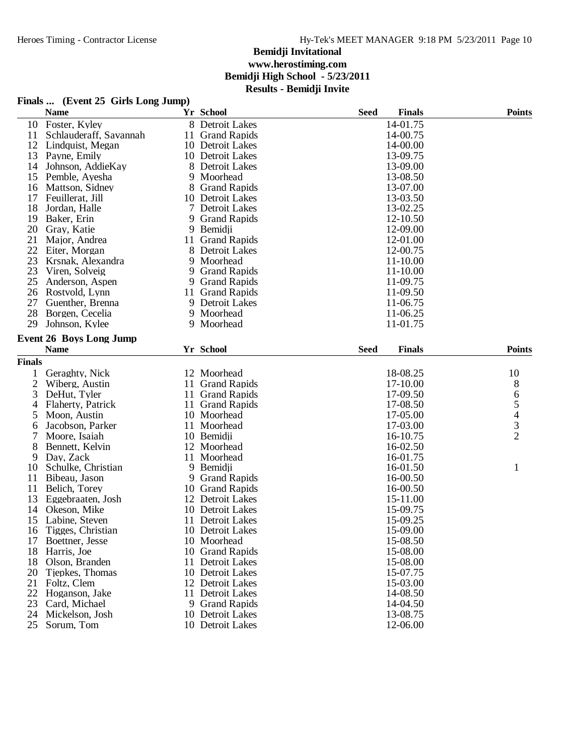## **Finals ... (Event 25 Girls Long Jump)**

|                     | <b>Name</b>                          |    | Yr School                          | <b>Seed</b> | <b>Finals</b>        | <b>Points</b>                                   |
|---------------------|--------------------------------------|----|------------------------------------|-------------|----------------------|-------------------------------------------------|
| 10                  | Foster, Kyley                        |    | 8 Detroit Lakes                    |             | 14-01.75             |                                                 |
| 11                  | Schlauderaff, Savannah               |    | 11 Grand Rapids                    |             | 14-00.75             |                                                 |
| 12                  | Lindquist, Megan                     |    | 10 Detroit Lakes                   |             | 14-00.00             |                                                 |
| 13                  | Payne, Emily                         |    | 10 Detroit Lakes                   |             | 13-09.75             |                                                 |
| 14                  | Johnson, AddieKay                    |    | 8 Detroit Lakes                    |             | 13-09.00             |                                                 |
| 15                  | Pemble, Ayesha                       |    | 9 Moorhead                         |             | 13-08.50             |                                                 |
| 16                  | Mattson, Sidney                      |    | 8 Grand Rapids                     |             | 13-07.00             |                                                 |
| 17                  | Feuillerat, Jill                     |    | 10 Detroit Lakes                   |             | 13-03.50             |                                                 |
| 18                  | Jordan, Halle                        | 7  | Detroit Lakes                      |             | 13-02.25             |                                                 |
| 19                  | Baker, Erin                          |    | 9 Grand Rapids                     |             | 12-10.50             |                                                 |
| 20                  | Gray, Katie                          |    | 9 Bemidii                          |             | 12-09.00             |                                                 |
| 21                  | Major, Andrea                        | 11 | <b>Grand Rapids</b>                |             | 12-01.00             |                                                 |
| 22                  | Eiter, Morgan                        | 8  | Detroit Lakes                      |             | 12-00.75             |                                                 |
| 23                  | Krsnak, Alexandra                    |    | 9 Moorhead                         |             | 11-10.00             |                                                 |
| 23                  | Viren, Solveig                       |    | 9 Grand Rapids                     |             | 11-10.00             |                                                 |
| 25                  | Anderson, Aspen                      |    | 9 Grand Rapids                     |             | 11-09.75             |                                                 |
| 26                  | Rostvold, Lynn                       | 11 | <b>Grand Rapids</b>                |             | 11-09.50             |                                                 |
| 27                  | Guenther, Brenna                     |    | 9 Detroit Lakes                    |             | 11-06.75             |                                                 |
| 28                  | Borgen, Cecelia                      |    | 9 Moorhead                         |             | 11-06.25             |                                                 |
| 29                  | Johnson, Kylee                       |    | 9 Moorhead                         |             | 11-01.75             |                                                 |
|                     | <b>Event 26 Boys Long Jump</b>       |    |                                    |             |                      |                                                 |
|                     | <b>Name</b>                          |    | Yr School                          | <b>Seed</b> | <b>Finals</b>        | <b>Points</b>                                   |
| <b>Finals</b>       |                                      |    |                                    |             |                      |                                                 |
|                     |                                      |    | 12 Moorhead                        |             | 18-08.25             |                                                 |
| 1                   | Geraghty, Nick                       |    |                                    |             |                      | 10                                              |
| $\overline{c}$<br>3 | Wiberg, Austin                       |    | 11 Grand Rapids<br>11 Grand Rapids |             | 17-10.00             | 8                                               |
|                     | DeHut, Tyler                         |    |                                    |             | 17-09.50             | 6                                               |
| 4                   | Flaherty, Patrick                    |    | 11 Grand Rapids<br>10 Moorhead     |             | 17-08.50<br>17-05.00 |                                                 |
| 5                   | Moon, Austin<br>Jacobson, Parker     |    | 11 Moorhead                        |             | 17-03.00             | $\begin{array}{c} 5 \\ 4 \\ 3 \\ 2 \end{array}$ |
| 6<br>7              |                                      |    | 10 Bemidji                         |             | 16-10.75             |                                                 |
| 8                   | Moore, Isaiah<br>Bennett, Kelvin     |    | 12 Moorhead                        |             | 16-02.50             |                                                 |
|                     |                                      |    | 11 Moorhead                        |             | 16-01.75             |                                                 |
| 9<br>10             | Day, Zack<br>Schulke, Christian      |    | 9 Bemidji                          |             |                      |                                                 |
| 11                  |                                      |    | 9 Grand Rapids                     |             | 16-01.50<br>16-00.50 | $\mathbf{1}$                                    |
| 11                  | Bibeau, Jason                        |    | 10 Grand Rapids                    |             | 16-00.50             |                                                 |
| 13                  | Belich, Torey                        |    | 12 Detroit Lakes                   |             | 15-11.00             |                                                 |
| 14                  | Eggebraaten, Josh<br>Okeson, Mike    |    | 10 Detroit Lakes                   |             | 15-09.75             |                                                 |
| 15                  | Labine, Steven                       |    | 11 Detroit Lakes                   |             | 15-09.25             |                                                 |
| 16                  |                                      |    |                                    |             | 15-09.00             |                                                 |
|                     | Tigges, Christian<br>Boettner, Jesse |    | 10 Detroit Lakes<br>10 Moorhead    |             | 15-08.50             |                                                 |
| 17<br>18            |                                      |    | 10 Grand Rapids                    |             | 15-08.00             |                                                 |
| 18                  | Harris, Joe<br>Olson, Branden        | 11 | Detroit Lakes                      |             | 15-08.00             |                                                 |
| 20                  | Tiepkes, Thomas                      |    | 10 Detroit Lakes                   |             | 15-07.75             |                                                 |
| 21                  | Foltz, Clem                          |    | 12 Detroit Lakes                   |             | 15-03.00             |                                                 |
| 22                  | Hoganson, Jake                       |    | 11 Detroit Lakes                   |             | 14-08.50             |                                                 |
| 23                  | Card, Michael                        |    | 9 Grand Rapids                     |             | 14-04.50             |                                                 |
| 24                  | Mickelson, Josh                      |    | 10 Detroit Lakes                   |             | 13-08.75             |                                                 |
| 25                  | Sorum, Tom                           |    | 10 Detroit Lakes                   |             | 12-06.00             |                                                 |
|                     |                                      |    |                                    |             |                      |                                                 |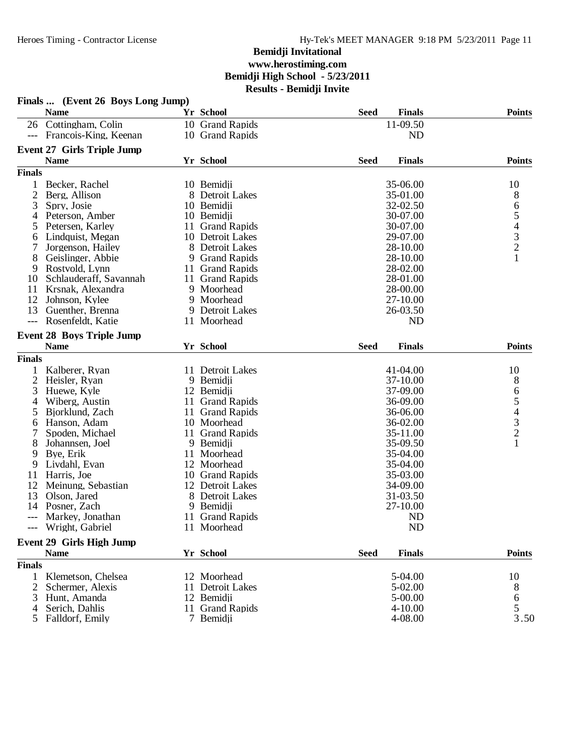|                | Finals  (Event 26 Boys Long Jump)                |                               |             |                      |               |
|----------------|--------------------------------------------------|-------------------------------|-------------|----------------------|---------------|
|                | <b>Name</b>                                      | Yr School                     | <b>Seed</b> | <b>Finals</b>        | <b>Points</b> |
|                | 26 Cottingham, Colin                             | 10 Grand Rapids               |             | 11-09.50             |               |
|                | --- Francois-King, Keenan                        | 10 Grand Rapids               |             | <b>ND</b>            |               |
|                | <b>Event 27 Girls Triple Jump</b><br><b>Name</b> | <b>Yr School</b>              |             | <b>Finals</b>        | <b>Points</b> |
|                |                                                  |                               | <b>Seed</b> |                      |               |
| <b>Finals</b>  |                                                  |                               |             |                      |               |
| 1              | Becker, Rachel                                   | 10 Bemidji                    |             | 35-06.00             | 10            |
| $\overline{2}$ | Berg, Allison                                    | 8 Detroit Lakes               |             | 35-01.00             | 8             |
| 3              | Spry, Josie                                      | 10 Bemidji                    |             | 32-02.50             |               |
| 4<br>5         | Peterson, Amber                                  | 10 Bemidji<br>11 Grand Rapids |             | 30-07.00<br>30-07.00 | 65432         |
|                | Petersen, Karley<br>Lindquist, Megan             | 10 Detroit Lakes              |             | 29-07.00             |               |
| 6              | Jorgenson, Hailey                                | 8 Detroit Lakes               |             | 28-10.00             |               |
| 8              | Geislinger, Abbie                                | 9 Grand Rapids                |             | 28-10.00             | $\mathbf{1}$  |
| 9              | Rostvold, Lynn                                   | 11 Grand Rapids               |             | 28-02.00             |               |
| 10             | Schlauderaff, Savannah                           | 11 Grand Rapids               |             | 28-01.00             |               |
| 11             | Krsnak, Alexandra                                | 9 Moorhead                    |             | 28-00.00             |               |
| 12             | Johnson, Kylee                                   | 9 Moorhead                    |             | 27-10.00             |               |
| 13             | Guenther, Brenna                                 | 9 Detroit Lakes               |             | 26-03.50             |               |
| $---$          | Rosenfeldt, Katie                                | 11 Moorhead                   |             | ND                   |               |
|                | <b>Event 28 Boys Triple Jump</b>                 |                               |             |                      |               |
|                | <b>Name</b>                                      | Yr School                     | <b>Seed</b> | <b>Finals</b>        | <b>Points</b> |
| <b>Finals</b>  |                                                  |                               |             |                      |               |
| 1              | Kalberer, Ryan                                   | 11 Detroit Lakes              |             | 41-04.00             | 10            |
| $\overline{2}$ | Heisler, Ryan                                    | 9 Bemidji                     |             | 37-10.00             | 8             |
| 3              | Huewe, Kyle                                      | 12 Bemidji                    |             | 37-09.00             |               |
| 4              | Wiberg, Austin                                   | 11 Grand Rapids               |             | 36-09.00             | 654321        |
| 5              | Bjorklund, Zach                                  | 11 Grand Rapids               |             | 36-06.00             |               |
| 6              | Hanson, Adam                                     | 10 Moorhead                   |             | 36-02.00             |               |
| 7              | Spoden, Michael                                  | 11 Grand Rapids               |             | 35-11.00             |               |
| 8              | Johannsen, Joel                                  | 9 Bemidji                     |             | 35-09.50             |               |
| 9              | Bye, Erik                                        | 11 Moorhead                   |             | 35-04.00             |               |
| 9              | Livdahl, Evan                                    | 12 Moorhead                   |             | 35-04.00             |               |
| 11             | Harris, Joe                                      | 10 Grand Rapids               |             | 35-03.00             |               |
| 12             | Meinung, Sebastian                               | 12 Detroit Lakes              |             | 34-09.00             |               |
| 13             | Olson, Jared                                     | 8 Detroit Lakes               |             | 31-03.50             |               |
|                | 14 Posner, Zach                                  | 9 Bemidji                     |             | 27-10.00             |               |
|                | --- Markey, Jonathan                             | 11 Grand Rapids               |             | ND                   |               |
|                | --- Wright, Gabriel                              | 11 Moorhead                   |             | <b>ND</b>            |               |
|                | <b>Event 29 Girls High Jump</b>                  |                               |             |                      |               |
|                | <b>Name</b>                                      | Yr School                     | <b>Seed</b> | <b>Finals</b>        | <b>Points</b> |
| <b>Finals</b>  |                                                  |                               |             |                      |               |
|                | Klemetson, Chelsea                               | 12 Moorhead                   |             | 5-04.00              | 10            |
| 2              | Schermer, Alexis                                 | 11 Detroit Lakes              |             | 5-02.00              | 8             |
| 3              | Hunt, Amanda                                     | 12 Bemidji                    |             | 5-00.00              | 6             |
|                | Serich, Dahlis                                   | 11 Grand Rapids               |             | $4 - 10.00$          | 5             |
| 5              | Falldorf, Emily                                  | 7 Bemidji                     |             | 4-08.00              | 3.50          |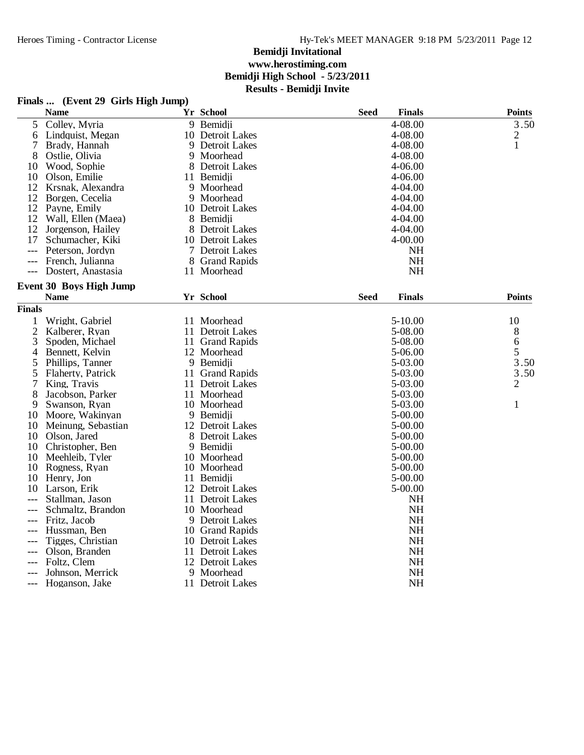### **Finals ... (Event 29 Girls High Jump)**

|                 | <b>Name</b>                    |    | Yr School            | <b>Seed</b> | <b>Finals</b> | <b>Points</b>  |
|-----------------|--------------------------------|----|----------------------|-------------|---------------|----------------|
| $5\overline{)}$ | Colley, Myria                  |    | 9 Bemidji            |             | 4-08.00       | 3.50           |
| 6               | Lindquist, Megan               |    | 10 Detroit Lakes     |             | 4-08.00       | 2              |
| 7               | Brady, Hannah                  |    | 9 Detroit Lakes      |             | 4-08.00       | 1              |
| 8               | Ostlie, Olivia                 | 9  | Moorhead             |             | 4-08.00       |                |
| 10              | Wood, Sophie                   | 8  | Detroit Lakes        |             | 4-06.00       |                |
| 10              | Olson, Emilie                  | 11 | Bemidii              |             | 4-06.00       |                |
| 12              | Krsnak, Alexandra              |    | 9 Moorhead           |             | 4-04.00       |                |
| 12              | Borgen, Cecelia                |    | 9 Moorhead           |             | 4-04.00       |                |
|                 | 12 Payne, Emily                |    | 10 Detroit Lakes     |             | 4-04.00       |                |
| 12              | Wall, Ellen (Maea)             |    | 8 Bemidji            |             | 4-04.00       |                |
| 12              | Jorgenson, Hailey              |    | 8 Detroit Lakes      |             | 4-04.00       |                |
| 17              | Schumacher, Kiki               | 10 | Detroit Lakes        |             | 4-00.00       |                |
| $---$           | Peterson, Jordyn               |    | 7 Detroit Lakes      |             | NH            |                |
|                 | French, Julianna               |    | 8 Grand Rapids       |             | <b>NH</b>     |                |
| $---$           | Dostert, Anastasia             |    | 11 Moorhead          |             | <b>NH</b>     |                |
|                 | <b>Event 30 Boys High Jump</b> |    |                      |             |               |                |
|                 | <b>Name</b>                    |    | Yr School            | <b>Seed</b> | <b>Finals</b> | <b>Points</b>  |
| <b>Finals</b>   |                                |    |                      |             |               |                |
| 1               | Wright, Gabriel                |    | 11 Moorhead          |             | 5-10.00       | 10             |
| $\overline{c}$  | Kalberer, Ryan                 |    | 11 Detroit Lakes     |             | 5-08.00       | 8              |
| 3               | Spoden, Michael                |    | 11 Grand Rapids      |             | 5-08.00       | 6              |
| 4               | Bennett, Kelvin                |    | 12 Moorhead          |             | 5-06.00       | 5              |
| 5               | Phillips, Tanner               |    | 9 Bemidji            |             | 5-03.00       | 3.50           |
| 5               | Flaherty, Patrick              |    | 11 Grand Rapids      |             | 5-03.00       | 3.50           |
| 7               | King, Travis                   | 11 | <b>Detroit Lakes</b> |             | 5-03.00       | $\overline{2}$ |
| 8               | Jacobson, Parker               | 11 | Moorhead             |             | 5-03.00       |                |
| 9               | Swanson, Ryan                  |    | 10 Moorhead          |             | 5-03.00       | 1              |
| 10              | Moore, Wakinyan                |    | 9 Bemidji            |             | 5-00.00       |                |
| 10              | Meinung, Sebastian             |    | 12 Detroit Lakes     |             | 5-00.00       |                |
| 10              | Olson, Jared                   | 8  | Detroit Lakes        |             | 5-00.00       |                |
| 10              | Christopher, Ben               | 9  | Bemidji              |             | 5-00.00       |                |
| 10              | Meehleib, Tyler                |    | 10 Moorhead          |             | 5-00.00       |                |
| 10              | Rogness, Ryan                  |    | 10 Moorhead          |             | 5-00.00       |                |
| 10              | Henry, Jon                     |    | 11 Bemidji           |             | 5-00.00       |                |
| 10              | Larson, Erik                   |    | 12 Detroit Lakes     |             | 5-00.00       |                |
|                 | Stallman, Jason                |    | 11 Detroit Lakes     |             | <b>NH</b>     |                |
|                 | Schmaltz, Brandon              |    | 10 Moorhead          |             | <b>NH</b>     |                |
|                 | Fritz, Jacob                   |    | 9 Detroit Lakes      |             | <b>NH</b>     |                |
| ---             | Hussman, Ben                   |    | 10 Grand Rapids      |             | <b>NH</b>     |                |
| $---$           | Tigges, Christian              |    | 10 Detroit Lakes     |             | <b>NH</b>     |                |
|                 | Olson, Branden                 | 11 | <b>Detroit Lakes</b> |             | NH            |                |
|                 | Foltz, Clem                    |    | 12 Detroit Lakes     |             | <b>NH</b>     |                |
|                 | Johnson, Merrick               |    | 9 Moorhead           |             | NH            |                |
| $---$           | Hoganson, Jake                 |    | 11 Detroit Lakes     |             | <b>NH</b>     |                |
|                 |                                |    |                      |             |               |                |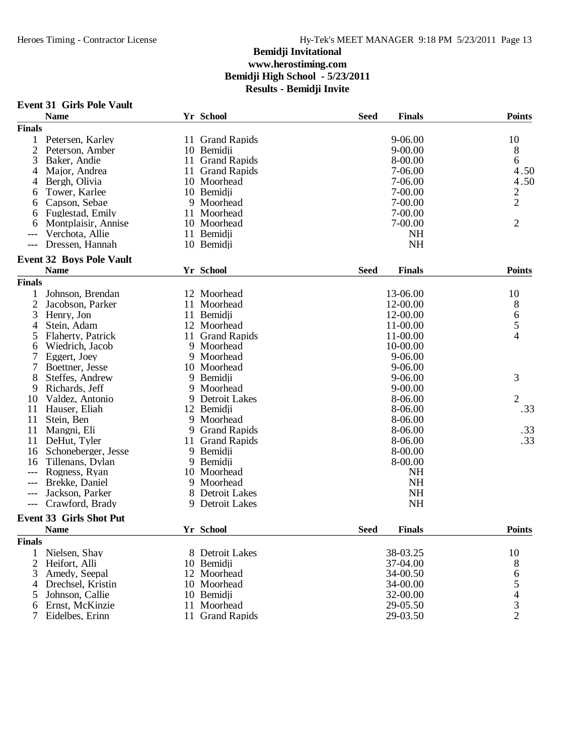|  | <b>Event 31 Girls Pole Vault</b> |  |
|--|----------------------------------|--|
|--|----------------------------------|--|

|                     | е успеления в отегу анн         |    |                 |             |               |                                                 |
|---------------------|---------------------------------|----|-----------------|-------------|---------------|-------------------------------------------------|
|                     | <b>Name</b>                     |    | Yr School       | <b>Seed</b> | <b>Finals</b> | <b>Points</b>                                   |
| <b>Finals</b>       |                                 |    |                 |             |               |                                                 |
| 1                   | Petersen, Karley                |    | 11 Grand Rapids |             | $9 - 06.00$   | 10                                              |
| $\overline{c}$      | Peterson, Amber                 |    | 10 Bemidji      |             | $9 - 00.00$   | 8                                               |
| 3                   | Baker, Andie                    |    | 11 Grand Rapids |             | 8-00.00       | 6                                               |
| 4                   | Major, Andrea                   |    | 11 Grand Rapids |             | 7-06.00       | 4.50                                            |
| 4                   | Bergh, Olivia                   |    | 10 Moorhead     |             | 7-06.00       | 4.50                                            |
| 6                   | Tower, Karlee                   |    | 10 Bemidji      |             | 7-00.00       | $\overline{2}$                                  |
| 6                   | Capson, Sebae                   |    | 9 Moorhead      |             | 7-00.00       | $\overline{2}$                                  |
| 6                   | Fuglestad, Emily                |    | 11 Moorhead     |             | $7 - 00.00$   |                                                 |
| 6                   | Montplaisir, Annise             |    | 10 Moorhead     |             | 7-00.00       | $\overline{2}$                                  |
| ---                 | Verchota, Allie                 |    | 11 Bemidji      |             | <b>NH</b>     |                                                 |
|                     | Dressen, Hannah                 |    | 10 Bemidji      |             | <b>NH</b>     |                                                 |
|                     |                                 |    |                 |             |               |                                                 |
|                     | <b>Event 32 Boys Pole Vault</b> |    |                 |             |               |                                                 |
|                     | <b>Name</b>                     |    | Yr School       | <b>Seed</b> | <b>Finals</b> | <b>Points</b>                                   |
| <b>Finals</b>       |                                 |    |                 |             |               |                                                 |
| 1                   | Johnson, Brendan                |    | 12 Moorhead     |             | 13-06.00      | 10                                              |
| $\overline{c}$      | Jacobson, Parker                | 11 | Moorhead        |             | 12-00.00      | 8                                               |
| 3                   | Henry, Jon                      |    | 11 Bemidji      |             | 12-00.00      | 6                                               |
| 4                   | Stein, Adam                     |    | 12 Moorhead     |             | 11-00.00      | 5                                               |
| 5                   | Flaherty, Patrick               |    | 11 Grand Rapids |             | 11-00.00      | $\overline{4}$                                  |
| 6                   | Wiedrich, Jacob                 | 9  | Moorhead        |             | 10-00.00      |                                                 |
| 7                   | Eggert, Joey                    | 9  | Moorhead        |             | 9-06.00       |                                                 |
| 7                   | Boettner, Jesse                 |    | 10 Moorhead     |             | 9-06.00       |                                                 |
| 8                   | Steffes, Andrew                 |    | 9 Bemidji       |             | 9-06.00       | 3                                               |
| 9                   | Richards, Jeff                  | 9  | Moorhead        |             | $9 - 00.00$   |                                                 |
| 10                  | Valdez, Antonio                 |    | 9 Detroit Lakes |             | 8-06.00       | $\overline{2}$                                  |
| 11                  | Hauser, Eliah                   |    | 12 Bemidji      |             | 8-06.00       | .33                                             |
| 11                  | Stein, Ben                      | 9  | Moorhead        |             | 8-06.00       |                                                 |
| 11                  | Mangni, Eli                     |    | 9 Grand Rapids  |             | 8-06.00       | .33                                             |
| 11                  | DeHut, Tyler                    |    | 11 Grand Rapids |             | 8-06.00       | .33                                             |
|                     |                                 |    |                 |             |               |                                                 |
| 16                  | Schoneberger, Jesse             |    | 9 Bemidji       |             | 8-00.00       |                                                 |
| 16                  | Tillenans, Dylan                |    | 9 Bemidji       |             | 8-00.00       |                                                 |
|                     | Rogness, Ryan                   |    | 10 Moorhead     |             | <b>NH</b>     |                                                 |
| $---$               | Brekke, Daniel                  | 9  | Moorhead        |             | <b>NH</b>     |                                                 |
| ---                 | Jackson, Parker                 |    | 8 Detroit Lakes |             | <b>NH</b>     |                                                 |
| $\qquad \qquad - -$ | Crawford, Brady                 |    | 9 Detroit Lakes |             | <b>NH</b>     |                                                 |
|                     | <b>Event 33 Girls Shot Put</b>  |    |                 |             |               |                                                 |
|                     | <b>Name</b>                     |    | Yr School       | <b>Seed</b> | <b>Finals</b> | <b>Points</b>                                   |
| <b>Finals</b>       |                                 |    |                 |             |               |                                                 |
| 1                   | Nielsen, Shay                   |    | 8 Detroit Lakes |             | 38-03.25      | 10                                              |
| $\overline{2}$      | Heifort, Alli                   |    | 10 Bemidji      |             | 37-04.00      |                                                 |
| 3                   | Amedy, Seepal                   |    | 12 Moorhead     |             | 34-00.50      | 8                                               |
|                     |                                 |    | 10 Moorhead     |             | 34-00.00      | 6                                               |
| 4                   | Drechsel, Kristin               |    |                 |             |               | $\begin{array}{c} 5 \\ 4 \\ 3 \\ 2 \end{array}$ |
| 5                   | Johnson, Callie                 |    | 10 Bemidji      |             | 32-00.00      |                                                 |
| 6                   | Ernst, McKinzie                 | 11 | Moorhead        |             | 29-05.50      |                                                 |
| 7                   | Eidelbes, Erinn                 |    | 11 Grand Rapids |             | 29-03.50      |                                                 |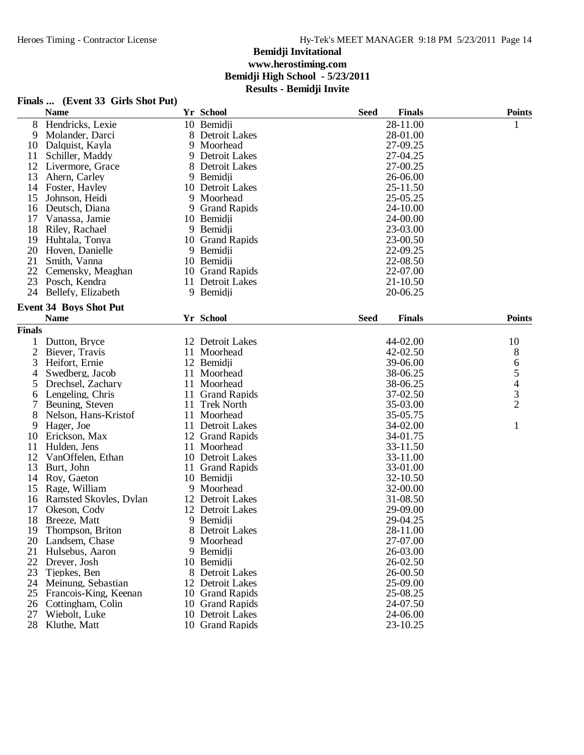## **Finals ... (Event 33 Girls Shot Put)**

|                | <b>Name</b>                   |   | Yr School           | <b>Seed</b> | <b>Finals</b> | <b>Points</b>  |
|----------------|-------------------------------|---|---------------------|-------------|---------------|----------------|
| 8              | Hendricks, Lexie              |   | 10 Bemidji          |             | 28-11.00      | 1              |
| 9              | Molander, Darci               |   | 8 Detroit Lakes     |             | 28-01.00      |                |
| 10             | Dalquist, Kayla               | 9 | Moorhead            |             | 27-09.25      |                |
| 11             | Schiller, Maddy               | 9 | Detroit Lakes       |             | 27-04.25      |                |
| 12             | Livermore, Grace              | 8 | Detroit Lakes       |             | 27-00.25      |                |
| 13             | Ahern, Carley                 |   | 9 Bemidji           |             | 26-06.00      |                |
| 14             | Foster, Hayley                |   | 10 Detroit Lakes    |             | 25-11.50      |                |
| 15             | Johnson, Heidi                | 9 | Moorhead            |             | 25-05.25      |                |
| 16             | Deutsch, Diana                | 9 | <b>Grand Rapids</b> |             | 24-10.00      |                |
| 17             | Vanassa, Jamie                |   | 10 Bemidii          |             | 24-00.00      |                |
| 18             | Riley, Rachael                |   | 9 Bemidii           |             | 23-03.00      |                |
| 19             | Huhtala, Tonya                |   | 10 Grand Rapids     |             | 23-00.50      |                |
| 20             | Hoven, Danielle               |   | 9 Bemidji           |             | 22-09.25      |                |
| 21             | Smith, Vanna                  |   | 10 Bemidii          |             | 22-08.50      |                |
| 22             | Cemensky, Meaghan             |   | 10 Grand Rapids     |             | 22-07.00      |                |
| 23             | Posch, Kendra                 |   | 11 Detroit Lakes    |             | $21 - 10.50$  |                |
| 24             | Bellefy, Elizabeth            |   | 9 Bemidji           |             | 20-06.25      |                |
|                |                               |   |                     |             |               |                |
|                | <b>Event 34 Boys Shot Put</b> |   |                     |             |               |                |
|                | <b>Name</b>                   |   | Yr School           | <b>Seed</b> | <b>Finals</b> | <b>Points</b>  |
| <b>Finals</b>  |                               |   |                     |             |               |                |
| $\mathbf 1$    | Dutton, Bryce                 |   | 12 Detroit Lakes    |             | 44-02.00      | 10             |
| $\overline{c}$ | Biever, Travis                |   | 11 Moorhead         |             | 42-02.50      | 8              |
| 3              | Heifort, Ernie                |   | 12 Bemidji          |             | 39-06.00      | 6              |
| 4              | Swedberg, Jacob               |   | 11 Moorhead         |             | 38-06.25      | 5              |
| 5              | Drechsel, Zachary             |   | 11 Moorhead         |             | 38-06.25      | $\overline{4}$ |
| 6              | Lengeling, Chris              |   | 11 Grand Rapids     |             | 37-02.50      | 3              |
| 7              | Beuning, Steven               |   | 11 Trek North       |             | 35-03.00      | $\overline{2}$ |
| 8              | Nelson, Hans-Kristof          |   | 11 Moorhead         |             | 35-05.75      |                |
| 9              | Hager, Joe                    |   | 11 Detroit Lakes    |             | 34-02.00      | 1              |
| 10             | Erickson, Max                 |   | 12 Grand Rapids     |             | 34-01.75      |                |
| 11             | Hulden, Jens                  |   | 11 Moorhead         |             | 33-11.50      |                |
| 12             | VanOffelen, Ethan             |   | 10 Detroit Lakes    |             | 33-11.00      |                |
| 13             | Burt, John                    |   | 11 Grand Rapids     |             | 33-01.00      |                |
| 14             | Roy, Gaeton                   |   | 10 Bemidji          |             | 32-10.50      |                |
| 15             | Rage, William                 |   | 9 Moorhead          |             | 32-00.00      |                |
| 16             | Ramsted Skoyles, Dylan        |   | 12 Detroit Lakes    |             | 31-08.50      |                |
| 17             | Okeson, Cody                  |   | 12 Detroit Lakes    |             | 29-09.00      |                |
| 18             | Breeze, Matt                  | 9 | Bemidji             |             | 29-04.25      |                |
| 19             | Thompson, Briton              |   | 8 Detroit Lakes     |             | 28-11.00      |                |
| 20             | Landsem, Chase                |   | 9 Moorhead          |             | 27-07.00      |                |
| 21             | Hulsebus, Aaron               |   | 9 Bemidji           |             | 26-03.00      |                |
| 22             | Dreyer, Josh                  |   | 10 Bemidii          |             | 26-02.50      |                |
| 23             | Tjepkes, Ben                  |   | 8 Detroit Lakes     |             | 26-00.50      |                |
| 24             | Meinung, Sebastian            |   | 12 Detroit Lakes    |             | 25-09.00      |                |
| 25             | Francois-King, Keenan         |   | 10 Grand Rapids     |             | 25-08.25      |                |
| 26             | Cottingham, Colin             |   | 10 Grand Rapids     |             | 24-07.50      |                |
| 27             | Wiebolt, Luke                 |   | 10 Detroit Lakes    |             | 24-06.00      |                |
| 28             | Kluthe, Matt                  |   | 10 Grand Rapids     |             | 23-10.25      |                |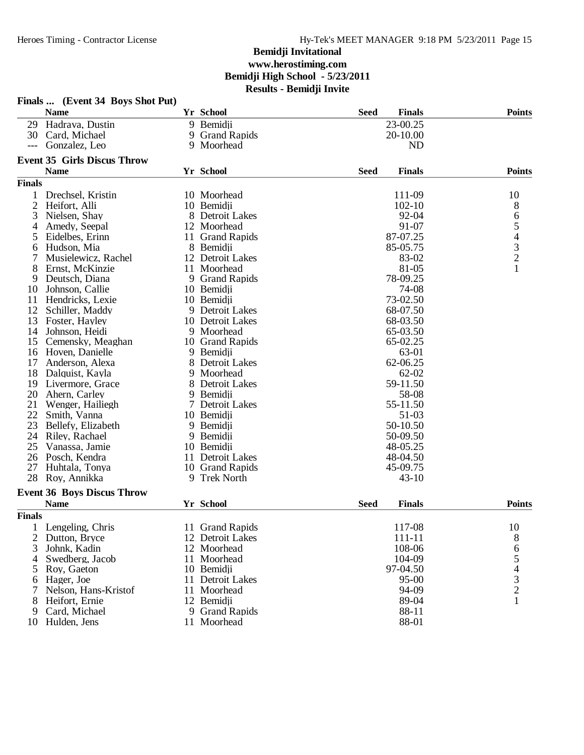|               | Finals  (Event 34 Boys Shot Put)   |     |                      |             |               |               |
|---------------|------------------------------------|-----|----------------------|-------------|---------------|---------------|
|               | <b>Name</b>                        |     | Yr School            | <b>Seed</b> | <b>Finals</b> | <b>Points</b> |
| 29            | Hadrava, Dustin                    |     | 9 Bemidji            |             | 23-00.25      |               |
| 30            | Card, Michael                      |     | 9 Grand Rapids       |             | 20-10.00      |               |
| $---$         | Gonzalez, Leo                      |     | 9 Moorhead           |             | <b>ND</b>     |               |
|               | <b>Event 35 Girls Discus Throw</b> |     |                      |             |               |               |
|               | <b>Name</b>                        |     | Yr School            | <b>Seed</b> | <b>Finals</b> | <b>Points</b> |
| <b>Finals</b> |                                    |     |                      |             |               |               |
|               | Drechsel, Kristin                  |     | 10 Moorhead          |             | 111-09        | 10            |
| 2             | Heifort, Alli                      |     | 10 Bemidji           |             | $102 - 10$    | 8             |
| 3             | Nielsen, Shay                      |     | 8 Detroit Lakes      |             | 92-04         |               |
| 4             | Amedy, Seepal                      |     | 12 Moorhead          |             | 91-07         | 654321        |
| 5             | Eidelbes, Erinn                    |     | 11 Grand Rapids      |             | 87-07.25      |               |
| 6             | Hudson, Mia                        |     | 8 Bemidji            |             | 85-05.75      |               |
|               | Musielewicz, Rachel                |     | 12 Detroit Lakes     |             | 83-02         |               |
| 8             | Ernst, McKinzie                    |     | 11 Moorhead          |             | 81-05         |               |
| 9             | Deutsch, Diana                     |     | 9 Grand Rapids       |             | 78-09.25      |               |
| 10            | Johnson, Callie                    |     | 10 Bemidii           |             | 74-08         |               |
| 11            | Hendricks, Lexie                   |     | 10 Bemidii           |             | 73-02.50      |               |
| 12            | Schiller, Maddy                    |     | 9 Detroit Lakes      |             | 68-07.50      |               |
| 13            | Foster, Hayley                     |     | 10 Detroit Lakes     |             | 68-03.50      |               |
| 14            | Johnson, Heidi                     |     | 9 Moorhead           |             | 65-03.50      |               |
| 15            | Cemensky, Meaghan                  |     | 10 Grand Rapids      |             | 65-02.25      |               |
| 16            | Hoven, Danielle                    |     | 9 Bemidji            |             | 63-01         |               |
| 17            | Anderson, Alexa                    |     | 8 Detroit Lakes      |             | 62-06.25      |               |
| 18            | Dalquist, Kayla                    |     | 9 Moorhead           |             | $62 - 02$     |               |
| 19            | Livermore, Grace                   |     | 8 Detroit Lakes      |             | 59-11.50      |               |
| 20            | Ahern, Carley                      |     | 9 Bemidji            |             | 58-08         |               |
| 21            | Wenger, Hailiegh                   |     | 7 Detroit Lakes      |             | 55-11.50      |               |
| 22            | Smith, Vanna                       |     | 10 Bemidji           |             | 51-03         |               |
| 23            | Bellefy, Elizabeth                 |     | 9 Bemidji            |             | 50-10.50      |               |
| 24            | Riley, Rachael                     |     | 9 Bemidji            |             | 50-09.50      |               |
| 25            | Vanassa, Jamie                     |     | 10 Bemidji           |             | 48-05.25      |               |
| 26            | Posch, Kendra                      |     | 11 Detroit Lakes     |             | 48-04.50      |               |
| 27            | Huhtala, Tonya                     |     | 10 Grand Rapids      |             | 45-09.75      |               |
| 28            | Roy, Annikka                       |     | 9 Trek North         |             | $43 - 10$     |               |
|               | <b>Event 36 Boys Discus Throw</b>  |     |                      |             |               |               |
|               | <b>Name</b>                        |     | Yr School            | <b>Seed</b> | <b>Finals</b> | <b>Points</b> |
| <b>Finals</b> |                                    |     |                      |             |               |               |
|               | Lengeling, Chris                   |     | 11 Grand Rapids      |             | 117-08        | 10            |
| 2             | Dutton, Bryce                      |     | 12 Detroit Lakes     |             | 111-11        | 8             |
| 3             | Johnk, Kadin                       |     | 12 Moorhead          |             | 108-06        |               |
| 4             | Swedberg, Jacob                    |     | 11 Moorhead          |             | 104-09        |               |
| 5             | Roy, Gaeton                        |     | 10 Bemidji           |             | 97-04.50      |               |
| 6             | Hager, Joe                         | 11. | <b>Detroit Lakes</b> |             | $95 - 00$     | 65432         |
|               | Nelson, Hans-Kristof               |     | 11 Moorhead          |             | 94-09         |               |
| 8             | Heifort, Ernie                     |     | 12 Bemidji           |             | 89-04         | $\mathbf{1}$  |
| 9             | Card, Michael                      |     | 9 Grand Rapids       |             | 88-11         |               |
| 10            | Hulden, Jens                       |     | 11 Moorhead          |             | 88-01         |               |
|               |                                    |     |                      |             |               |               |